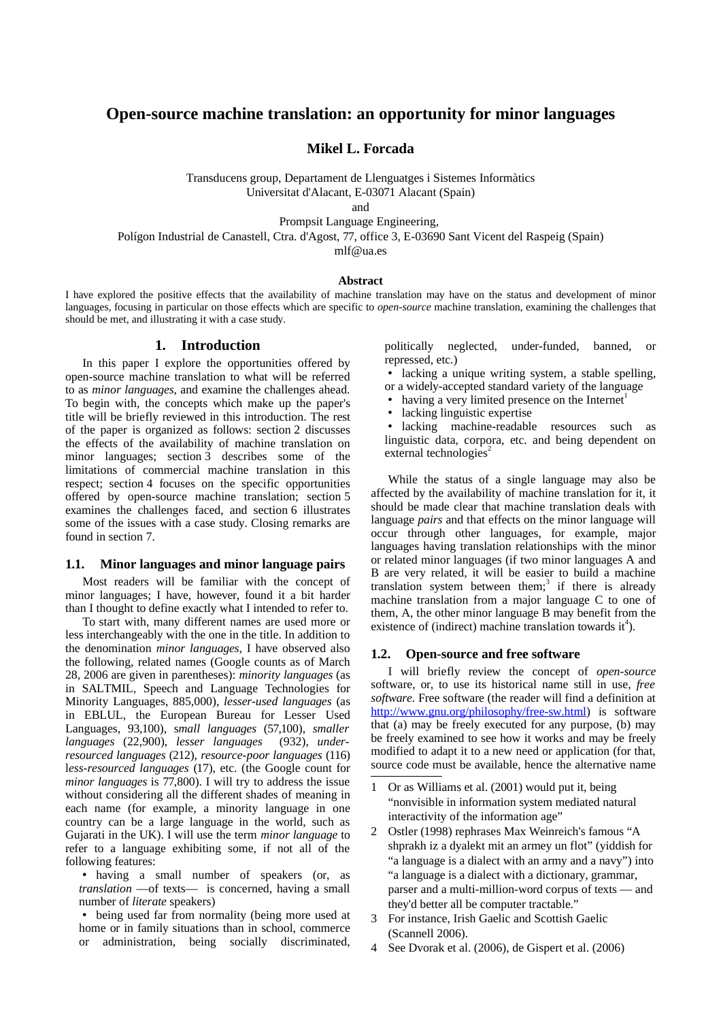# **Open-source machine translation: an opportunity for minor languages**

**Mikel L. Forcada**

Transducens group, Departament de Llenguatges i Sistemes Informàtics Universitat d'Alacant, E-03071 Alacant (Spain)

and

Prompsit Language Engineering,

Polígon Industrial de Canastell, Ctra. d'Agost, 77, office 3, E-03690 Sant Vicent del Raspeig (Spain)

mlf@ua.es

#### **Abstract**

I have explored the positive effects that the availability of machine translation may have on the status and development of minor languages, focusing in particular on those effects which are specific to *open-source* machine translation, examining the challenges that should be met, and illustrating it with a case study.

### **1. Introduction**

In this paper I explore the opportunities offered by open-source machine translation to what will be referred to as *minor languages*, and examine the challenges ahead. To begin with, the concepts which make up the paper's title will be briefly reviewed in this introduction. The rest of the paper is organized as follows: section [2](#page-1-0) discusses the effects of the availability of machine translation on minor languages; section [3](#page-2-1) describes some of the limitations of commercial machine translation in this respect; section [4](#page-2-0) focuses on the specific opportunities offered by open-source machine translation; section [5](#page-3-0) examines the challenges faced, and section [6](#page-5-1) illustrates some of the issues with a case study. Closing remarks are found in section [7.](#page-5-0)

## <span id="page-0-4"></span>**1.1. Minor languages and minor language pairs**

Most readers will be familiar with the concept of minor languages; I have, however, found it a bit harder than I thought to define exactly what I intended to refer to.

To start with, many different names are used more or less interchangeably with the one in the title. In addition to the denomination *minor languages*, I have observed also the following, related names (Google counts as of March 28, 2006 are given in parentheses): *minority languages* (as in SALTMIL, Speech and Language Technologies for Minority Languages, 885,000), *lesser-used languages* (as in EBLUL, the European Bureau for Lesser Used Languages, 93,100), s*mall languages* (57,100), *smaller languages* (22,900), *lesser languages* (932), *underresourced languages* (212), *resource-poor languages* (116) l*ess-resourced languages* (17), etc. (the Google count for *minor languages* is 77,800). I will try to address the issue without considering all the different shades of meaning in each name (for example, a minority language in one country can be a large language in the world, such as Gujarati in the UK). I will use the term *minor language* to refer to a language exhibiting some, if not all of the following features:

• having a small number of speakers (or, as *translation* —of texts— is concerned, having a small number of *literate* speakers)

• being used far from normality (being more used at home or in family situations than in school, commerce or administration, being socially discriminated, politically neglected, under-funded, banned, or repressed, etc.)

• lacking a unique writing system, a stable spelling,

or a widely-accepted standard variety of the language

- having a very limited presence on the Internet<sup>[1](#page-0-0)</sup>
- lacking linguistic expertise

• lacking machine-readable resources such as linguistic data, corpora, etc. and being dependent on external technologies<sup>[2](#page-0-1)</sup>

While the status of a single language may also be affected by the availability of machine translation for it, it should be made clear that machine translation deals with language *pairs* and that effects on the minor language will occur through other languages, for example, major languages having translation relationships with the minor or related minor languages (if two minor languages A and B are very related, it will be easier to build a machine translation system between them;<sup>[3](#page-0-2)</sup> if there is already machine translation from a major language C to one of them, A, the other minor language B may benefit from the existence of (indirect) machine translation towards it<sup>[4](#page-0-3)</sup>).

#### **1.2. Open-source and free software**

I will briefly review the concept of *open-source* software, or, to use its historical name still in use, *free software.* Free software (the reader will find a definition at <http://www.gnu.org/philosophy/free-sw.html>) is software that (a) may be freely executed for any purpose, (b) may be freely examined to see how it works and may be freely modified to adapt it to a new need or application (for that, source code must be available, hence the alternative name

<span id="page-0-0"></span><sup>1</sup> Or as Williams et al. (2001) would put it, being "nonvisible in information system mediated natural interactivity of the information age"

<span id="page-0-1"></span><sup>2</sup> Ostler (1998) rephrases Max Weinreich's famous "A shprakh iz a dyalekt mit an armey un flot" (yiddish for "a language is a dialect with an army and a navy") into "a language is a dialect with a dictionary, grammar, parser and a multi-million-word corpus of texts — and they'd better all be computer tractable."

<span id="page-0-2"></span><sup>3</sup> For instance, Irish Gaelic and Scottish Gaelic (Scannell 2006).

<span id="page-0-3"></span><sup>4</sup> See Dvorak et al. (2006), de Gispert et al. (2006)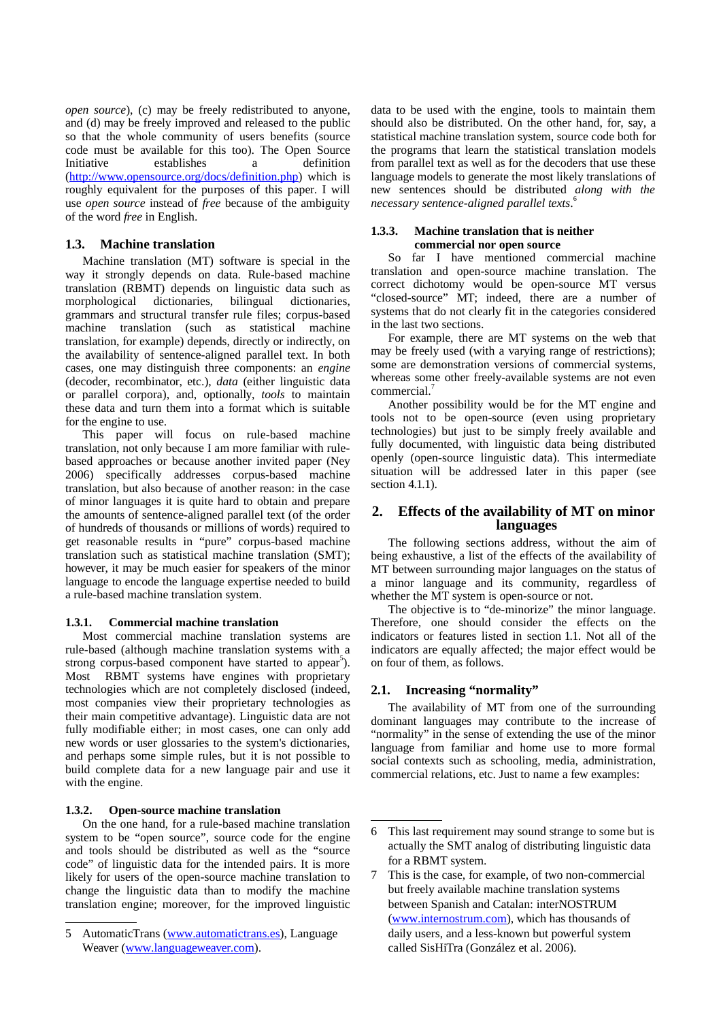*open source*), (c) may be freely redistributed to anyone, and (d) may be freely improved and released to the public so that the whole community of users benefits (source code must be available for this too). The Open Source Initiative establishes a definition [\(http://www.opensource.org/docs/definition.php](http://www.opensource.org/docs/definition.php)) which is roughly equivalent for the purposes of this paper. I will use *open source* instead of *free* because of the ambiguity of the word *free* in English.

## **1.3. Machine translation**

Machine translation (MT) software is special in the way it strongly depends on data. Rule-based machine translation (RBMT) depends on linguistic data such as morphological dictionaries, bilingual dictionaries, grammars and structural transfer rule files; corpus-based machine translation (such as statistical machine translation, for example) depends, directly or indirectly, on the availability of sentence-aligned parallel text. In both cases, one may distinguish three components: an *engine* (decoder, recombinator, etc.), *data* (either linguistic data or parallel corpora), and, optionally, *tools* to maintain these data and turn them into a format which is suitable for the engine to use.

This paper will focus on rule-based machine translation, not only because I am more familiar with rulebased approaches or because another invited paper (Ney 2006) specifically addresses corpus-based machine translation, but also because of another reason: in the case of minor languages it is quite hard to obtain and prepare the amounts of sentence-aligned parallel text (of the order of hundreds of thousands or millions of words) required to get reasonable results in "pure" corpus-based machine translation such as statistical machine translation (SMT); however, it may be much easier for speakers of the minor language to encode the language expertise needed to build a rule-based machine translation system.

### **1.3.1. Commercial machine translation**

Most commercial machine translation systems are rule-based (although machine translation systems with a strong corpus-based component have started to appear<sup>[5](#page-1-1)</sup>). Most RBMT systems have engines with proprietary technologies which are not completely disclosed (indeed, most companies view their proprietary technologies as their main competitive advantage). Linguistic data are not fully modifiable either; in most cases, one can only add new words or user glossaries to the system's dictionaries, and perhaps some simple rules, but it is not possible to build complete data for a new language pair and use it with the engine.

### **1.3.2. Open-source machine translation**

On the one hand, for a rule-based machine translation system to be "open source", source code for the engine and tools should be distributed as well as the "source code" of linguistic data for the intended pairs. It is more likely for users of the open-source machine translation to change the linguistic data than to modify the machine translation engine; moreover, for the improved linguistic data to be used with the engine, tools to maintain them should also be distributed. On the other hand, for, say, a statistical machine translation system, source code both for the programs that learn the statistical translation models from parallel text as well as for the decoders that use these language models to generate the most likely translations of new sentences should be distributed *along with the necessary sentence-aligned parallel texts*. [6](#page-1-2)

### **1.3.3. Machine translation that is neither commercial nor open source**

So far I have mentioned commercial machine translation and open-source machine translation. The correct dichotomy would be open-source MT versus "closed-source" MT; indeed, there are a number of systems that do not clearly fit in the categories considered in the last two sections.

For example, there are MT systems on the web that may be freely used (with a varying range of restrictions); some are demonstration versions of commercial systems, whereas some other freely-available systems are not even commercial.<sup>[7](#page-1-3)</sup>

Another possibility would be for the MT engine and tools not to be open-source (even using proprietary technologies) but just to be simply freely available and fully documented, with linguistic data being distributed openly (open-source linguistic data). This intermediate situation will be addressed later in this paper (see section [4.1.1](#page-2-2)).

# <span id="page-1-0"></span>**2. Effects of the availability of MT on minor languages**

The following sections address, without the aim of being exhaustive, a list of the effects of the availability of MT between surrounding major languages on the status of a minor language and its community, regardless of whether the MT system is open-source or not.

The objective is to "de-minorize" the minor language. Therefore, one should consider the effects on the indicators or features listed in section [1.1](#page-0-4). Not all of the indicators are equally affected; the major effect would be on four of them, as follows.

### **2.1. Increasing "normality"**

The availability of MT from one of the surrounding dominant languages may contribute to the increase of "normality" in the sense of extending the use of the minor language from familiar and home use to more formal social contexts such as schooling, media, administration, commercial relations, etc. Just to name a few examples:

<span id="page-1-1"></span><sup>5</sup> AutomaticTrans [\(www.automatictrans.es](http://www.automatictrans.es/)), Language Weaver ([www.languageweaver.com\)](http://www.languageweaver.com/).

<span id="page-1-2"></span><sup>6</sup> This last requirement may sound strange to some but is actually the SMT analog of distributing linguistic data for a RBMT system.

<span id="page-1-3"></span><sup>7</sup> This is the case, for example, of two non-commercial but freely available machine translation systems between Spanish and Catalan: interNOSTRUM ([www.internostrum.com](http://www.internostrum.com/)), which has thousands of daily users, and a less-known but powerful system called SisHiTra (González et al. 2006).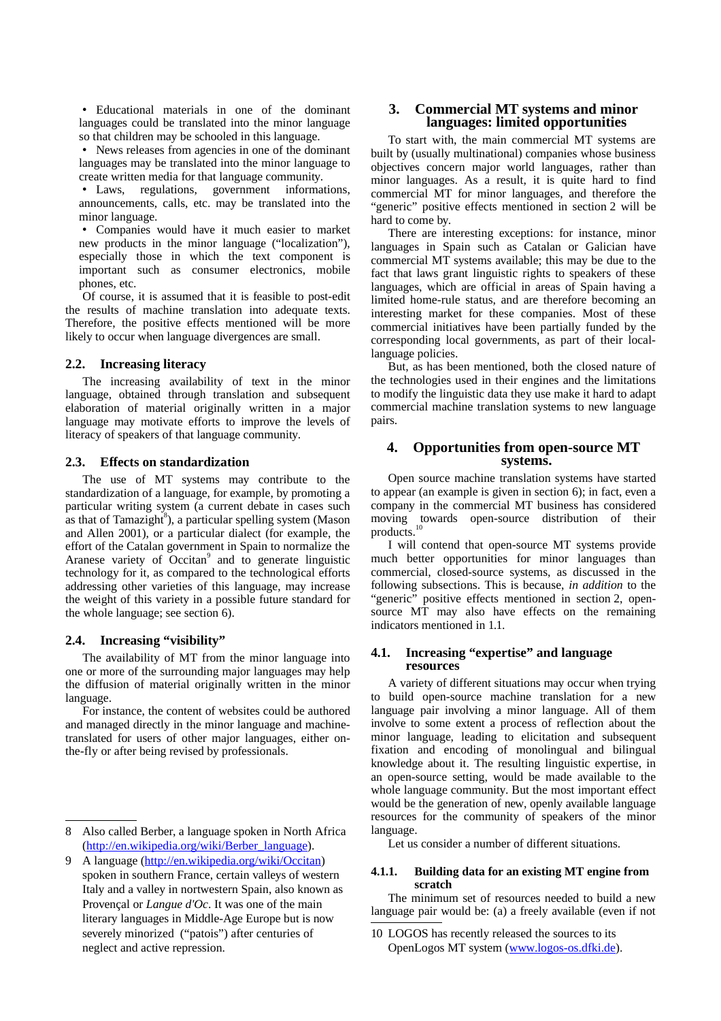• Educational materials in one of the dominant languages could be translated into the minor language so that children may be schooled in this language.

• News releases from agencies in one of the dominant languages may be translated into the minor language to create written media for that language community.

• Laws, regulations, government informations, announcements, calls, etc. may be translated into the minor language.

• Companies would have it much easier to market new products in the minor language ("localization"), especially those in which the text component is important such as consumer electronics, mobile phones, etc.

Of course, it is assumed that it is feasible to post-edit the results of machine translation into adequate texts. Therefore, the positive effects mentioned will be more likely to occur when language divergences are small.

## **2.2. Increasing literacy**

The increasing availability of text in the minor language, obtained through translation and subsequent elaboration of material originally written in a major language may motivate efforts to improve the levels of literacy of speakers of that language community.

### <span id="page-2-6"></span>**2.3. Effects on standardization**

The use of MT systems may contribute to the standardization of a language, for example, by promoting a particular writing system (a current debate in cases such as that of Tamazight<sup>[8](#page-2-3)</sup>), a particular spelling system (Mason and Allen 2001), or a particular dialect (for example, the effort of the Catalan government in Spain to normalize the Aranese variety of Occitan<sup>[9](#page-2-4)</sup> and to generate linguistic technology for it, as compared to the technological efforts addressing other varieties of this language, may increase the weight of this variety in a possible future standard for the whole language; see section [6\)](#page-5-1).

### **2.4. Increasing "visibility"**

The availability of MT from the minor language into one or more of the surrounding major languages may help the diffusion of material originally written in the minor language.

For instance, the content of websites could be authored and managed directly in the minor language and machinetranslated for users of other major languages, either onthe-fly or after being revised by professionals.

# <span id="page-2-1"></span>**3. Commercial MT systems and minor languages: limited opportunities**

To start with, the main commercial MT systems are built by (usually multinational) companies whose business objectives concern major world languages, rather than minor languages. As a result, it is quite hard to find commercial MT for minor languages, and therefore the "generic" positive effects mentioned in section [2](#page-1-0) will be hard to come by.

There are interesting exceptions: for instance, minor languages in Spain such as Catalan or Galician have commercial MT systems available; this may be due to the fact that laws grant linguistic rights to speakers of these languages, which are official in areas of Spain having a limited home-rule status, and are therefore becoming an interesting market for these companies. Most of these commercial initiatives have been partially funded by the corresponding local governments, as part of their locallanguage policies.

But, as has been mentioned, both the closed nature of the technologies used in their engines and the limitations to modify the linguistic data they use make it hard to adapt commercial machine translation systems to new language pairs.

# <span id="page-2-0"></span>**4. Opportunities from open-source MT systems.**

Open source machine translation systems have started to appear (an example is given in section [6](#page-5-1)); in fact, even a company in the commercial MT business has considered moving towards open-source distribution of their products. [10](#page-2-5)

I will contend that open-source MT systems provide much better opportunities for minor languages than commercial, closed-source systems, as discussed in the following subsections. This is because, *in addition* to the "generic" positive effects mentioned in section [2,](#page-1-0) opensource MT may also have effects on the remaining indicators mentioned in [1.1](#page-0-4).

### **4.1. Increasing "expertise" and language resources**

A variety of different situations may occur when trying to build open-source machine translation for a new language pair involving a minor language. All of them involve to some extent a process of reflection about the minor language, leading to elicitation and subsequent fixation and encoding of monolingual and bilingual knowledge about it. The resulting linguistic expertise, in an open-source setting, would be made available to the whole language community. But the most important effect would be the generation of new, openly available language resources for the community of speakers of the minor language.

<span id="page-2-2"></span>Let us consider a number of different situations.

#### **4.1.1. Building data for an existing MT engine from scratch**

The minimum set of resources needed to build a new language pair would be: (a) a freely available (even if not

<span id="page-2-3"></span><sup>8</sup> Also called Berber, a language spoken in North Africa [\(http://en.wikipedia.org/wiki/Berber\\_language\)](http://en.wikipedia.org/wiki/Berber_language).

<span id="page-2-4"></span><sup>9</sup> A language [\(http://en.wikipedia.org/wiki/Occitan](http://en.wikipedia.org/wiki/Occitan)) spoken in southern France, certain valleys of western Italy and a valley in nortwestern Spain, also known as Provençal or *Langue d'Oc*. It was one of the main literary languages in Middle-Age Europe but is now severely minorized ("patois") after centuries of neglect and active repression.

<span id="page-2-5"></span><sup>10</sup> LOGOS has recently released the sources to its OpenLogos MT system [\(www.logos-os.dfki.de](http://www.logos-os.dfki.de/)).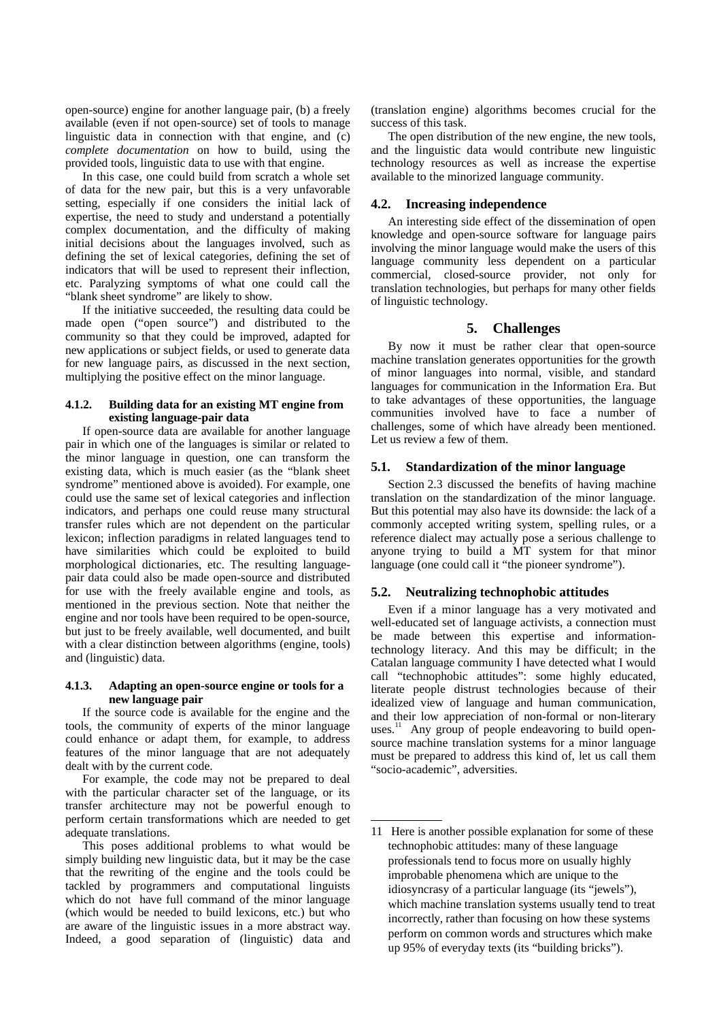open-source) engine for another language pair, (b) a freely available (even if not open-source) set of tools to manage linguistic data in connection with that engine, and (c) *complete documentation* on how to build, using the provided tools, linguistic data to use with that engine.

In this case, one could build from scratch a whole set of data for the new pair, but this is a very unfavorable setting, especially if one considers the initial lack of expertise, the need to study and understand a potentially complex documentation, and the difficulty of making initial decisions about the languages involved, such as defining the set of lexical categories, defining the set of indicators that will be used to represent their inflection, etc. Paralyzing symptoms of what one could call the "blank sheet syndrome" are likely to show.

If the initiative succeeded, the resulting data could be made open ("open source") and distributed to the community so that they could be improved, adapted for new applications or subject fields, or used to generate data for new language pairs, as discussed in the next section, multiplying the positive effect on the minor language.

### <span id="page-3-2"></span>**4.1.2. Building data for an existing MT engine from existing language-pair data**

If open-source data are available for another language pair in which one of the languages is similar or related to the minor language in question, one can transform the existing data, which is much easier (as the "blank sheet syndrome" mentioned above is avoided). For example, one could use the same set of lexical categories and inflection indicators, and perhaps one could reuse many structural transfer rules which are not dependent on the particular lexicon; inflection paradigms in related languages tend to have similarities which could be exploited to build morphological dictionaries, etc. The resulting languagepair data could also be made open-source and distributed for use with the freely available engine and tools, as mentioned in the previous section. Note that neither the engine and nor tools have been required to be open-source, but just to be freely available, well documented, and built with a clear distinction between algorithms (engine, tools) and (linguistic) data.

#### **4.1.3. Adapting an open-source engine or tools for a new language pair**

If the source code is available for the engine and the tools, the community of experts of the minor language could enhance or adapt them, for example, to address features of the minor language that are not adequately dealt with by the current code.

For example, the code may not be prepared to deal with the particular character set of the language, or its transfer architecture may not be powerful enough to perform certain transformations which are needed to get adequate translations.

This poses additional problems to what would be simply building new linguistic data, but it may be the case that the rewriting of the engine and the tools could be tackled by programmers and computational linguists which do not have full command of the minor language (which would be needed to build lexicons, etc.) but who are aware of the linguistic issues in a more abstract way. Indeed, a good separation of (linguistic) data and (translation engine) algorithms becomes crucial for the success of this task.

The open distribution of the new engine, the new tools, and the linguistic data would contribute new linguistic technology resources as well as increase the expertise available to the minorized language community.

# **4.2. Increasing independence**

An interesting side effect of the dissemination of open knowledge and open-source software for language pairs involving the minor language would make the users of this language community less dependent on a particular commercial, closed-source provider, not only for translation technologies, but perhaps for many other fields of linguistic technology.

# <span id="page-3-0"></span>**5. Challenges**

By now it must be rather clear that open-source machine translation generates opportunities for the growth of minor languages into normal, visible, and standard languages for communication in the Information Era. But to take advantages of these opportunities, the language communities involved have to face a number of challenges, some of which have already been mentioned. Let us review a few of them.

# **5.1. Standardization of the minor language**

Section [2.3](#page-2-6) discussed the benefits of having machine translation on the standardization of the minor language. But this potential may also have its downside: the lack of a commonly accepted writing system, spelling rules, or a reference dialect may actually pose a serious challenge to anyone trying to build a MT system for that minor language (one could call it "the pioneer syndrome").

# **5.2. Neutralizing technophobic attitudes**

Even if a minor language has a very motivated and well-educated set of language activists, a connection must be made between this expertise and informationtechnology literacy. And this may be difficult; in the Catalan language community I have detected what I would call "technophobic attitudes": some highly educated, literate people distrust technologies because of their idealized view of language and human communication, and their low appreciation of non-formal or non-literary uses.<sup>[11](#page-3-1)</sup> Any group of people endeavoring to build opensource machine translation systems for a minor language must be prepared to address this kind of, let us call them "socio-academic", adversities.

<span id="page-3-1"></span><sup>11</sup> Here is another possible explanation for some of these technophobic attitudes: many of these language professionals tend to focus more on usually highly improbable phenomena which are unique to the idiosyncrasy of a particular language (its "jewels"), which machine translation systems usually tend to treat incorrectly, rather than focusing on how these systems perform on common words and structures which make up 95% of everyday texts (its "building bricks").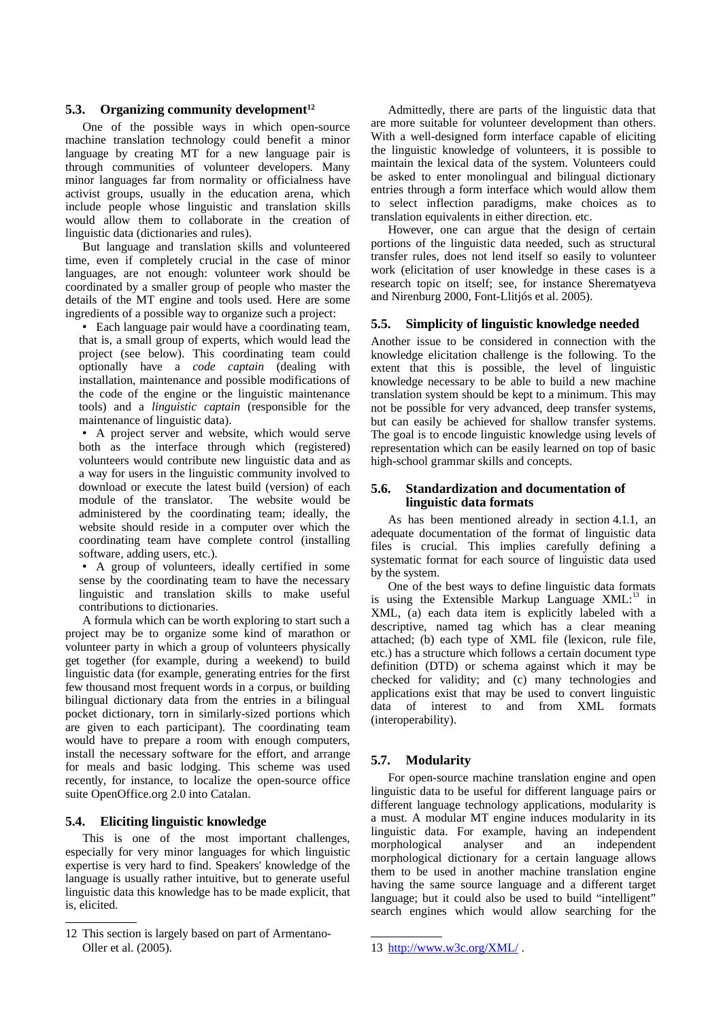# **5.3. Organizing community development [12](#page-4-0)**

One of the possible ways in which open-source machine translation technology could benefit a minor language by creating MT for a new language pair is through communities of volunteer developers. Many minor languages far from normality or officialness have activist groups, usually in the education arena, which include people whose linguistic and translation skills would allow them to collaborate in the creation of linguistic data (dictionaries and rules).

But language and translation skills and volunteered time, even if completely crucial in the case of minor languages, are not enough: volunteer work should be coordinated by a smaller group of people who master the details of the MT engine and tools used. Here are some ingredients of a possible way to organize such a project:

• Each language pair would have a coordinating team, that is, a small group of experts, which would lead the project (see below). This coordinating team could optionally have a *code captain* (dealing with installation, maintenance and possible modifications of the code of the engine or the linguistic maintenance tools) and a *linguistic captain* (responsible for the maintenance of linguistic data).

• A project server and website, which would serve both as the interface through which (registered) volunteers would contribute new linguistic data and as a way for users in the linguistic community involved to download or execute the latest build (version) of each module of the translator. The website would be administered by the coordinating team; ideally, the website should reside in a computer over which the coordinating team have complete control (installing software, adding users, etc.).

• A group of volunteers, ideally certified in some sense by the coordinating team to have the necessary linguistic and translation skills to make useful contributions to dictionaries.

A formula which can be worth exploring to start such a project may be to organize some kind of marathon or volunteer party in which a group of volunteers physically get together (for example, during a weekend) to build linguistic data (for example, generating entries for the first few thousand most frequent words in a corpus, or building bilingual dictionary data from the entries in a bilingual pocket dictionary, torn in similarly-sized portions which are given to each participant). The coordinating team would have to prepare a room with enough computers, install the necessary software for the effort, and arrange for meals and basic lodging. This scheme was used recently, for instance, to localize the open-source office suite OpenOffice.org 2.0 into Catalan.

# **5.4. Eliciting linguistic knowledge**

This is one of the most important challenges, especially for very minor languages for which linguistic expertise is very hard to find. Speakers' knowledge of the language is usually rather intuitive, but to generate useful linguistic data this knowledge has to be made explicit, that is, elicited.

Admittedly, there are parts of the linguistic data that are more suitable for volunteer development than others. With a well-designed form interface capable of eliciting the linguistic knowledge of volunteers, it is possible to maintain the lexical data of the system. Volunteers could be asked to enter monolingual and bilingual dictionary entries through a form interface which would allow them to select inflection paradigms, make choices as to translation equivalents in either direction. etc.

However, one can argue that the design of certain portions of the linguistic data needed, such as structural transfer rules, does not lend itself so easily to volunteer work (elicitation of user knowledge in these cases is a research topic on itself; see, for instance Sherematyeva and Nirenburg 2000, Font-Llitjós et al. 2005).

### **5.5. Simplicity of linguistic knowledge needed**

Another issue to be considered in connection with the knowledge elicitation challenge is the following. To the extent that this is possible, the level of linguistic knowledge necessary to be able to build a new machine translation system should be kept to a minimum. This may not be possible for very advanced, deep transfer systems, but can easily be achieved for shallow transfer systems. The goal is to encode linguistic knowledge using levels of representation which can be easily learned on top of basic high-school grammar skills and concepts.

### **5.6. Standardization and documentation of linguistic data formats**

As has been mentioned already in section [4.1.1](#page-2-2), an adequate documentation of the format of linguistic data files is crucial. This implies carefully defining a systematic format for each source of linguistic data used by the system.

One of the best ways to define linguistic data formats is using the Extensible Markup Language XML:<sup>[13](#page-4-1)</sup> in XML, (a) each data item is explicitly labeled with a descriptive, named tag which has a clear meaning attached; (b) each type of XML file (lexicon, rule file, etc.) has a structure which follows a certain document type definition (DTD) or schema against which it may be checked for validity; and (c) many technologies and applications exist that may be used to convert linguistic data of interest to and from XML formats (interoperability).

# **5.7. Modularity**

For open-source machine translation engine and open linguistic data to be useful for different language pairs or different language technology applications, modularity is a must. A modular MT engine induces modularity in its linguistic data. For example, having an independent morphological analyser and an independent morphological dictionary for a certain language allows them to be used in another machine translation engine having the same source language and a different target language; but it could also be used to build "intelligent" search engines which would allow searching for the

<span id="page-4-0"></span><sup>12</sup> This section is largely based on part of Armentano-Oller et al. (2005).

<span id="page-4-1"></span><sup>13</sup> <http://www.w3c.org/XML/>.